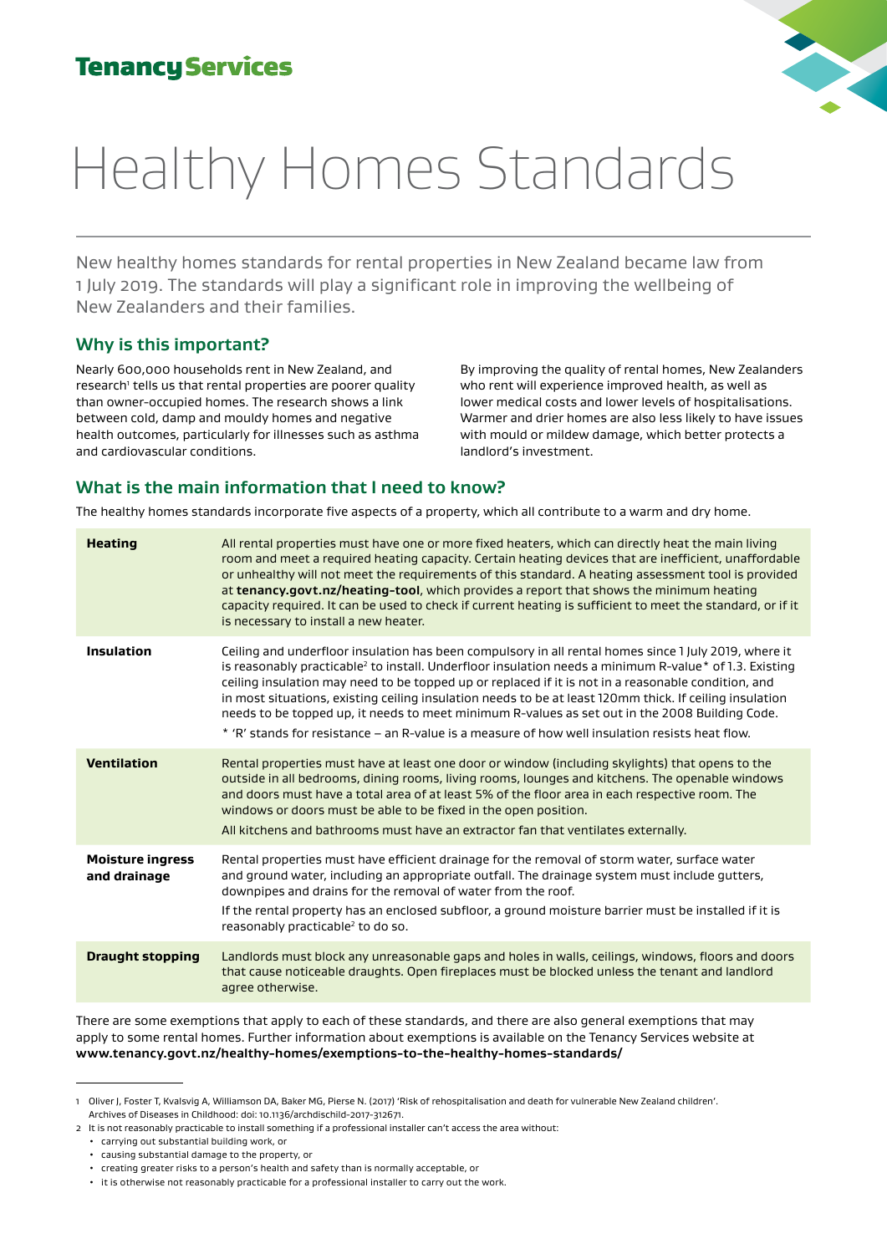

New healthy homes standards for rental properties in New Zealand became law from 1 July 2019. The standards will play a significant role in improving the wellbeing of New Zealanders and their families.

## **Why is this important?**

Nearly 600,000 households rent in New Zealand, and research' tells us that rental properties are poorer quality than owner-occupied homes. The research shows a link between cold, damp and mouldy homes and negative health outcomes, particularly for illnesses such as asthma and cardiovascular conditions.

By improving the quality of rental homes, New Zealanders who rent will experience improved health, as well as lower medical costs and lower levels of hospitalisations. Warmer and drier homes are also less likely to have issues with mould or mildew damage, which better protects a landlord's investment.

## **What is the main information that I need to know?**

The healthy homes standards incorporate five aspects of a property, which all contribute to a warm and dry home.

| <b>Heating</b>                          | All rental properties must have one or more fixed heaters, which can directly heat the main living<br>room and meet a required heating capacity. Certain heating devices that are inefficient, unaffordable<br>or unhealthy will not meet the requirements of this standard. A heating assessment tool is provided<br>at tenancy.govt.nz/heating-tool, which provides a report that shows the minimum heating<br>capacity required. It can be used to check if current heating is sufficient to meet the standard, or if it<br>is necessary to install a new heater.                                                                                           |
|-----------------------------------------|----------------------------------------------------------------------------------------------------------------------------------------------------------------------------------------------------------------------------------------------------------------------------------------------------------------------------------------------------------------------------------------------------------------------------------------------------------------------------------------------------------------------------------------------------------------------------------------------------------------------------------------------------------------|
| <b>Insulation</b>                       | Ceiling and underfloor insulation has been compulsory in all rental homes since 1 July 2019, where it<br>is reasonably practicable <sup>2</sup> to install. Underfloor insulation needs a minimum R-value <sup>*</sup> of 1.3. Existing<br>ceiling insulation may need to be topped up or replaced if it is not in a reasonable condition, and<br>in most situations, existing ceiling insulation needs to be at least 120mm thick. If ceiling insulation<br>needs to be topped up, it needs to meet minimum R-values as set out in the 2008 Building Code.<br>* 'R' stands for resistance – an R-value is a measure of how well insulation resists heat flow. |
| <b>Ventilation</b>                      | Rental properties must have at least one door or window (including skylights) that opens to the<br>outside in all bedrooms, dining rooms, living rooms, lounges and kitchens. The openable windows<br>and doors must have a total area of at least 5% of the floor area in each respective room. The<br>windows or doors must be able to be fixed in the open position.<br>All kitchens and bathrooms must have an extractor fan that ventilates externally.                                                                                                                                                                                                   |
| <b>Moisture ingress</b><br>and drainage | Rental properties must have efficient drainage for the removal of storm water, surface water<br>and ground water, including an appropriate outfall. The drainage system must include gutters,<br>downpipes and drains for the removal of water from the roof.<br>If the rental property has an enclosed subfloor, a ground moisture barrier must be installed if it is<br>reasonably practicable <sup>2</sup> to do so.                                                                                                                                                                                                                                        |
| <b>Draught stopping</b>                 | Landlords must block any unreasonable gaps and holes in walls, ceilings, windows, floors and doors<br>that cause noticeable draughts. Open fireplaces must be blocked unless the tenant and landlord<br>agree otherwise.                                                                                                                                                                                                                                                                                                                                                                                                                                       |

There are some exemptions that apply to each of these standards, and there are also general exemptions that may apply to some rental homes. Further information about exemptions is available on the Tenancy Services website at **[www.tenancy.govt.nz/healthy-homes/exemptions-to-the-healthy-homes-standards/](https://www.tenancy.govt.nz/healthy-homes/exemptions-to-the-healthy-homes-standards/)**

<sup>1</sup> Oliver J, Foster T, Kvalsvig A, Williamson DA, Baker MG, Pierse N. (2017) 'Risk of rehospitalisation and death for vulnerable New Zealand children'.

Archives of Diseases in Childhood: doi: 10.1136/archdischild-2017-312671. 2 It is not reasonably practicable to install something if a professional installer can't access the area without:

<sup>•</sup> carrying out substantial building work, or

<sup>•</sup> causing substantial damage to the property, or

<sup>•</sup> creating greater risks to a person's health and safety than is normally acceptable, or

<sup>•</sup> it is otherwise not reasonably practicable for a professional installer to carry out the work.